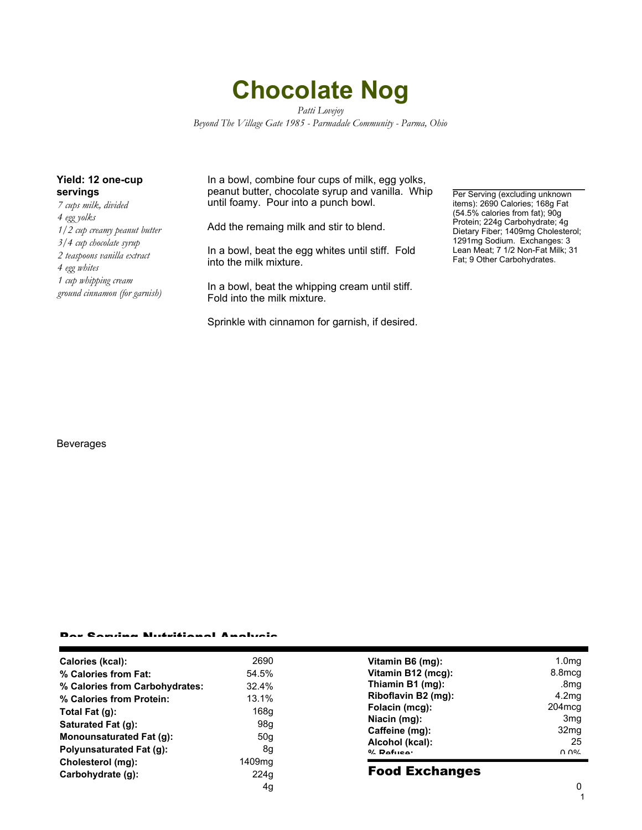# **Chocolate Nog**

*Patti Lovejoy Beyond The Village Gate 1985 - Parmadale Community - Parma, Ohio*

## **Yield: 12 one-cup servings**

*7 cups milk, divided 4 egg yolks 1/2 cup creamy peanut butter 3/4 cup chocolate syrup 2 teaspoons vanilla extract 4 egg whites 1 cup whipping cream ground cinnamon (for garnish)*

In a bowl, combine four cups of milk, egg yolks, peanut butter, chocolate syrup and vanilla. Whip until foamy. Pour into a punch bowl.

Add the remaing milk and stir to blend.

In a bowl, beat the egg whites until stiff. Fold into the milk mixture.

In a bowl, beat the whipping cream until stiff. Fold into the milk mixture.

Sprinkle with cinnamon for garnish, if desired.

Per Serving (excluding unknown items): 2690 Calories; 168g Fat (54.5% calories from fat); 90g Protein; 224g Carbohydrate; 4g Dietary Fiber; 1409mg Cholesterol; 1291mg Sodium. Exchanges: 3 Lean Meat; 7 1/2 Non-Fat Milk; 31 Fat; 9 Other Carbohydrates.

### Beverages

#### Per Serving Nutritional Analysis

| Calories (kcal):                | 2690            |
|---------------------------------|-----------------|
| % Calories from Fat:            | 54.5%           |
| % Calories from Carbohydrates:  | 32.4%           |
| % Calories from Protein:        | 13.1%           |
| Total Fat (g):                  | 168q            |
| Saturated Fat (g):              | 98a             |
| <b>Monounsaturated Fat (g):</b> | 50 <sub>q</sub> |
| Polyunsaturated Fat (g):        | 8q              |
| Cholesterol (mg):               | 1409mg          |
| Carbohydrate (g):               | 224q            |
|                                 |                 |

| Vitamin B6 (mq):<br>Vitamin B12 (mcg):<br>Thiamin B1 (mg):<br>Riboflavin B2 (mg):<br>Folacin (mcg): | 1.0 <sub>mq</sub><br>8.8 <sub>mcq</sub><br>.8 <sub>m</sub> g<br>4.2 <sub>mq</sub><br>204mcg |
|-----------------------------------------------------------------------------------------------------|---------------------------------------------------------------------------------------------|
| Niacin (mg):                                                                                        | 3 <sub>mg</sub>                                                                             |
| Caffeine (mg):                                                                                      | 32 <sub>mq</sub>                                                                            |
| Alcohol (kcal):                                                                                     | 25                                                                                          |
| $0/$ Dofuson                                                                                        | n no/                                                                                       |

# Food Exchanges